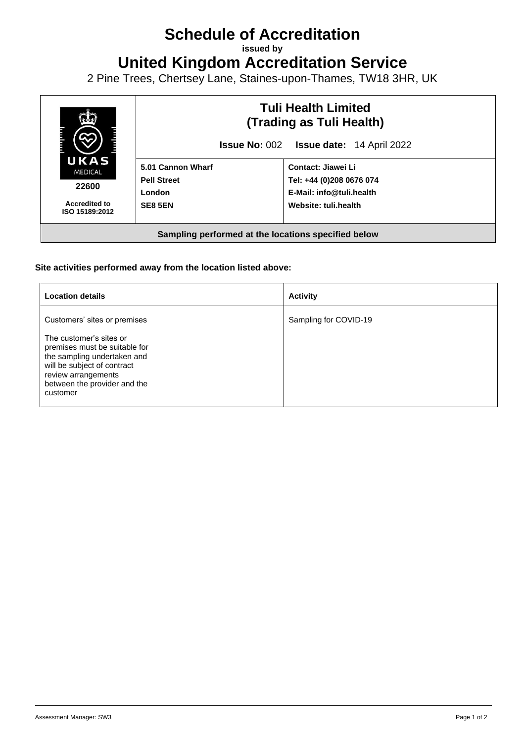## **Schedule of Accreditation**

**issued by**

**United Kingdom Accreditation Service**

2 Pine Trees, Chertsey Lane, Staines-upon-Thames, TW18 3HR, UK



## **Site activities performed away from the location listed above:**

| <b>Location details</b>                                                                                                                                                                   | <b>Activity</b>       |
|-------------------------------------------------------------------------------------------------------------------------------------------------------------------------------------------|-----------------------|
| Customers' sites or premises                                                                                                                                                              | Sampling for COVID-19 |
| The customer's sites or<br>premises must be suitable for<br>the sampling undertaken and<br>will be subject of contract<br>review arrangements<br>between the provider and the<br>customer |                       |